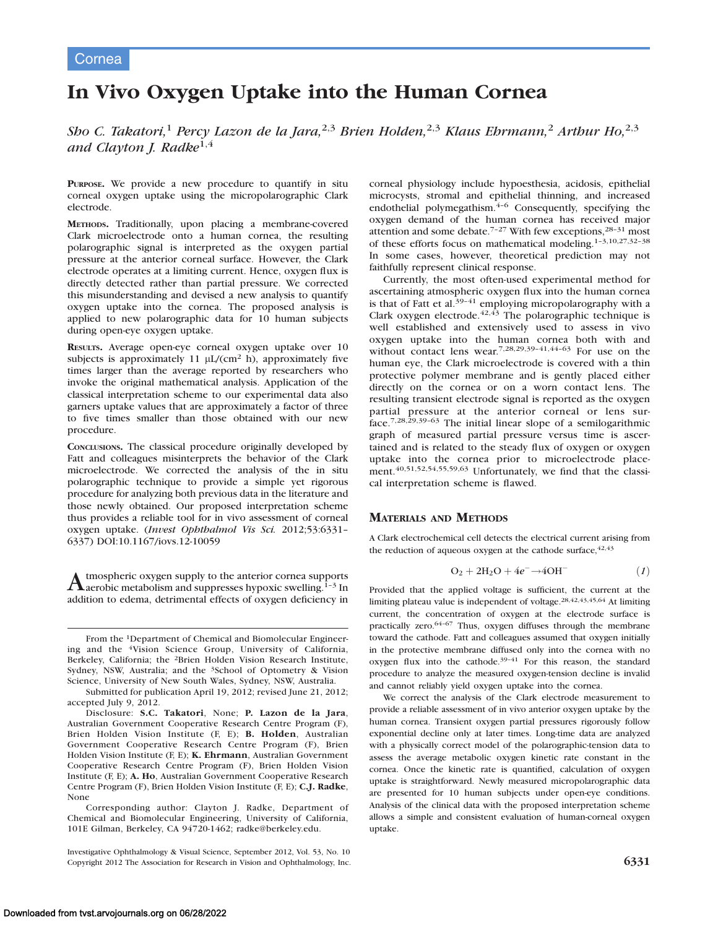# Cornea

# In Vivo Oxygen Uptake into the Human Cornea

Sho C. Takatori,<sup>1</sup> Percy Lazon de la Jara,<sup>2,3</sup> Brien Holden,<sup>2,3</sup> Klaus Ehrmann,<sup>2</sup> Arthur Ho,<sup>2,3</sup> and Clayton J. Radke<sup>1,4</sup>

PURPOSE. We provide a new procedure to quantify in situ corneal oxygen uptake using the micropolarographic Clark electrode.

METHODS. Traditionally, upon placing a membrane-covered Clark microelectrode onto a human cornea, the resulting polarographic signal is interpreted as the oxygen partial pressure at the anterior corneal surface. However, the Clark electrode operates at a limiting current. Hence, oxygen flux is directly detected rather than partial pressure. We corrected this misunderstanding and devised a new analysis to quantify oxygen uptake into the cornea. The proposed analysis is applied to new polarographic data for 10 human subjects during open-eye oxygen uptake.

RESULTS. Average open-eye corneal oxygen uptake over 10 subjects is approximately 11  $\mu$ L/(cm<sup>2</sup> h), approximately five times larger than the average reported by researchers who invoke the original mathematical analysis. Application of the classical interpretation scheme to our experimental data also garners uptake values that are approximately a factor of three to five times smaller than those obtained with our new procedure.

CONCLUSIONS. The classical procedure originally developed by Fatt and colleagues misinterprets the behavior of the Clark microelectrode. We corrected the analysis of the in situ polarographic technique to provide a simple yet rigorous procedure for analyzing both previous data in the literature and those newly obtained. Our proposed interpretation scheme thus provides a reliable tool for in vivo assessment of corneal oxygen uptake. (Invest Ophthalmol Vis Sci. 2012;53:6331– 6337) DOI:10.1167/iovs.12-10059

A tmospheric oxygen supply to the anterior cornea supports<br>daerobic metabolism and suppresses hypoxic swelling.<sup>1-3</sup> In addition to edema, detrimental effects of oxygen deficiency in

From the 1Department of Chemical and Biomolecular Engineering and the 4Vision Science Group, University of California, Berkeley, California; the 2Brien Holden Vision Research Institute, Sydney, NSW, Australia; and the <sup>3</sup>School of Optometry & Vision Science, University of New South Wales, Sydney, NSW, Australia.

Submitted for publication April 19, 2012; revised June 21, 2012; accepted July 9, 2012.

Disclosure: S.C. Takatori, None; P. Lazon de la Jara, Australian Government Cooperative Research Centre Program (F), Brien Holden Vision Institute (F, E); B. Holden, Australian Government Cooperative Research Centre Program (F), Brien Holden Vision Institute (F, E); K. Ehrmann, Australian Government Cooperative Research Centre Program (F), Brien Holden Vision Institute (F, E); A. Ho, Australian Government Cooperative Research Centre Program (F), Brien Holden Vision Institute (F, E); C.J. Radke, None

Corresponding author: Clayton J. Radke, Department of Chemical and Biomolecular Engineering, University of California, 101E Gilman, Berkeley, CA 94720-1462; radke@berkeley.edu.

Investigative Ophthalmology & Visual Science, September 2012, Vol. 53, No. 10 Copyright 2012 The Association for Research in Vision and Ophthalmology, Inc. 6331

corneal physiology include hypoesthesia, acidosis, epithelial microcysts, stromal and epithelial thinning, and increased endothelial polymegathism.<sup>4-6</sup> Consequently, specifying the oxygen demand of the human cornea has received major attention and some debate.<sup>7-27</sup> With few exceptions,<sup>28-31</sup> most of these efforts focus on mathematical modeling.1–3,10,27,32–38 In some cases, however, theoretical prediction may not faithfully represent clinical response.

Currently, the most often-used experimental method for ascertaining atmospheric oxygen flux into the human cornea is that of Fatt et al.<sup>39-41</sup> employing micropolarography with a Clark oxygen electrode.<sup>42,43</sup> The polarographic technique is well established and extensively used to assess in vivo oxygen uptake into the human cornea both with and without contact lens wear.<sup>7,28,29,39-41,44-63</sup> For use on the human eye, the Clark microelectrode is covered with a thin protective polymer membrane and is gently placed either directly on the cornea or on a worn contact lens. The resulting transient electrode signal is reported as the oxygen partial pressure at the anterior corneal or lens surface.7,28,29,39–63 The initial linear slope of a semilogarithmic graph of measured partial pressure versus time is ascertained and is related to the steady flux of oxygen or oxygen uptake into the cornea prior to microelectrode placement.<sup>40,51,52,54,55,59,63</sup> Unfortunately, we find that the classical interpretation scheme is flawed.

## MATERIALS AND METHODS

A Clark electrochemical cell detects the electrical current arising from the reduction of aqueous oxygen at the cathode surface,  $42,43$ 

$$
O_2 + 2H_2O + 4e^- \rightarrow 4OH^-
$$
 (1)

Provided that the applied voltage is sufficient, the current at the limiting plateau value is independent of voltage.28,42,43,45,64 At limiting current, the concentration of oxygen at the electrode surface is practically zero.64–67 Thus, oxygen diffuses through the membrane toward the cathode. Fatt and colleagues assumed that oxygen initially in the protective membrane diffused only into the cornea with no oxygen flux into the cathode.<sup>39-41</sup> For this reason, the standard procedure to analyze the measured oxygen-tension decline is invalid and cannot reliably yield oxygen uptake into the cornea.

We correct the analysis of the Clark electrode measurement to provide a reliable assessment of in vivo anterior oxygen uptake by the human cornea. Transient oxygen partial pressures rigorously follow exponential decline only at later times. Long-time data are analyzed with a physically correct model of the polarographic-tension data to assess the average metabolic oxygen kinetic rate constant in the cornea. Once the kinetic rate is quantified, calculation of oxygen uptake is straightforward. Newly measured micropolarographic data are presented for 10 human subjects under open-eye conditions. Analysis of the clinical data with the proposed interpretation scheme allows a simple and consistent evaluation of human-corneal oxygen uptake.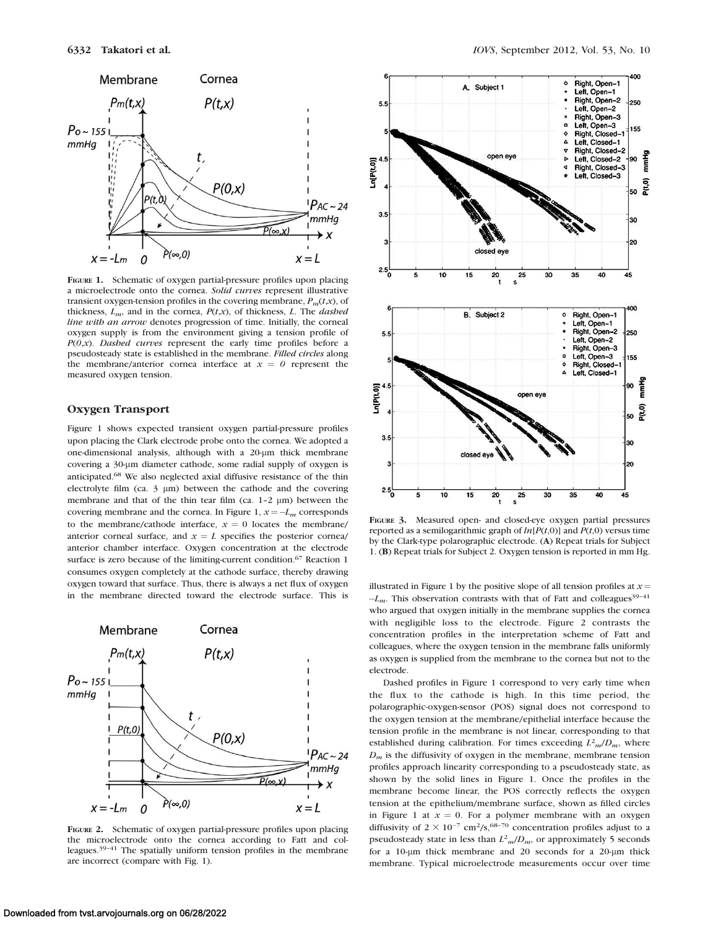

FIGURE 1. Schematic of oxygen partial-pressure profiles upon placing a microelectrode onto the cornea. Solid curves represent illustrative transient oxygen-tension profiles in the covering membrane,  $P_m(t,x)$ , of thickness,  $L_m$ , and in the cornea,  $P(t,x)$ , of thickness, L. The *dashed* line with an arrow denotes progression of time. Initially, the corneal oxygen supply is from the environment giving a tension profile of  $P(0,x)$ . Dashed curves represent the early time profiles before a pseudosteady state is established in the membrane. Filled circles along the membrane/anterior cornea interface at  $x = 0$  represent the measured oxygen tension.

#### Oxygen Transport

Figure 1 shows expected transient oxygen partial-pressure profiles upon placing the Clark electrode probe onto the cornea. We adopted a one-dimensional analysis, although with a 20-um thick membrane covering a 30-um diameter cathode, some radial supply of oxygen is anticipated.68 We also neglected axial diffusive resistance of the thin electrolyte film (ca.  $3 \mu m$ ) between the cathode and the covering membrane and that of the thin tear film (ca.  $1-2 \mu m$ ) between the covering membrane and the cornea. In Figure 1,  $x = -L_m$  corresponds to the membrane/cathode interface,  $x = 0$  locates the membrane/ anterior corneal surface, and  $x = L$  specifies the posterior cornea/ anterior chamber interface. Oxygen concentration at the electrode surface is zero because of the limiting-current condition.<sup>67</sup> Reaction 1 consumes oxygen completely at the cathode surface, thereby drawing oxygen toward that surface. Thus, there is always a net flux of oxygen in the membrane directed toward the electrode surface. This is



FIGURE 2. Schematic of oxygen partial-pressure profiles upon placing the microelectrode onto the cornea according to Fatt and colleagues.39–41 The spatially uniform tension profiles in the membrane are incorrect (compare with Fig. 1).



FIGURE 3. Measured open- and closed-eye oxygen partial pressures reported as a semilogarithmic graph of  $ln[P(t,0)]$  and  $P(t,0)$  versus time by the Clark-type polarographic electrode. (A) Repeat trials for Subject 1. (B) Repeat trials for Subject 2. Oxygen tension is reported in mm Hg.

illustrated in Figure 1 by the positive slope of all tension profiles at  $x =$  $-L_m$ . This observation contrasts with that of Fatt and colleagues<sup>39-41</sup> who argued that oxygen initially in the membrane supplies the cornea with negligible loss to the electrode. Figure 2 contrasts the concentration profiles in the interpretation scheme of Fatt and colleagues, where the oxygen tension in the membrane falls uniformly as oxygen is supplied from the membrane to the cornea but not to the electrode.

Dashed profiles in Figure 1 correspond to very early time when the flux to the cathode is high. In this time period, the polarographic-oxygen-sensor (POS) signal does not correspond to the oxygen tension at the membrane/epithelial interface because the tension profile in the membrane is not linear, corresponding to that established during calibration. For times exceeding  $L^2_m/D_m$ , where  $D_m$  is the diffusivity of oxygen in the membrane, membrane tension profiles approach linearity corresponding to a pseudosteady state, as shown by the solid lines in Figure 1. Once the profiles in the membrane become linear, the POS correctly reflects the oxygen tension at the epithelium/membrane surface, shown as filled circles in Figure 1 at  $x = 0$ . For a polymer membrane with an oxygen diffusivity of  $2 \times 10^{-7}$  cm<sup>2</sup>/s,<sup>68-70</sup> concentration profiles adjust to a pseudosteady state in less than  $L^2_m/D_m$ , or approximately 5 seconds for a 10-um thick membrane and 20 seconds for a 20-um thick membrane. Typical microelectrode measurements occur over time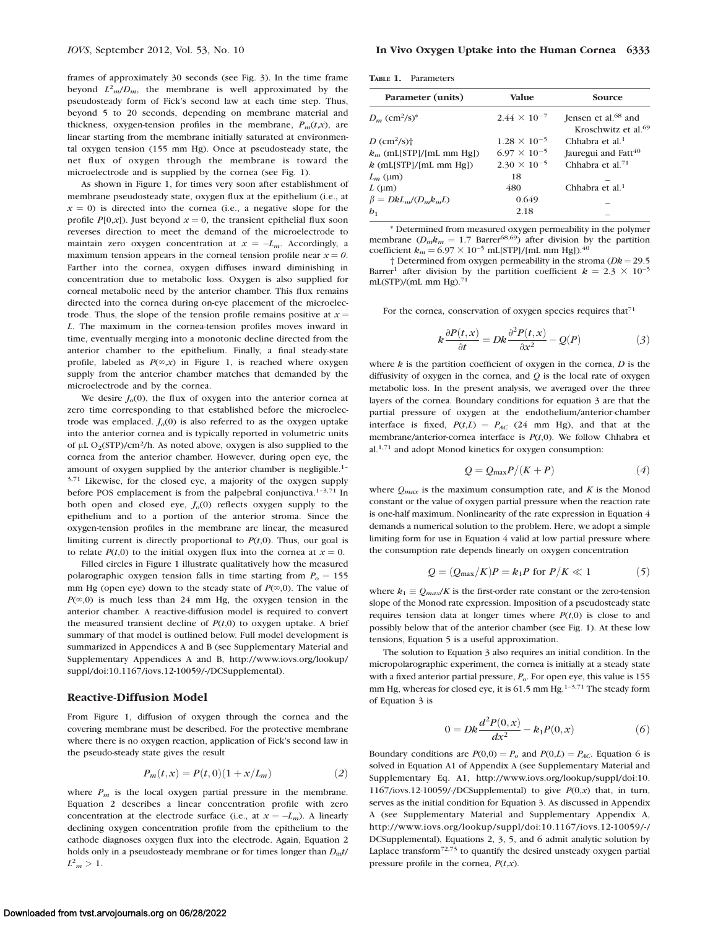frames of approximately 30 seconds (see Fig. 3). In the time frame beyond  $L^2_m/D_m$ , the membrane is well approximated by the pseudosteady form of Fick's second law at each time step. Thus, beyond 5 to 20 seconds, depending on membrane material and thickness, oxygen-tension profiles in the membrane,  $P_m(t,x)$ , are linear starting from the membrane initially saturated at environmental oxygen tension (155 mm Hg). Once at pseudosteady state, the net flux of oxygen through the membrane is toward the microelectrode and is supplied by the cornea (see Fig. 1).

As shown in Figure 1, for times very soon after establishment of membrane pseudosteady state, oxygen flux at the epithelium (i.e., at  $x = 0$ ) is directed into the cornea (i.e., a negative slope for the profile  $P[0,x]$ ). Just beyond  $x = 0$ , the transient epithelial flux soon reverses direction to meet the demand of the microelectrode to maintain zero oxygen concentration at  $x = -L_m$ . Accordingly, a maximum tension appears in the corneal tension profile near  $x = 0$ . Farther into the cornea, oxygen diffuses inward diminishing in concentration due to metabolic loss. Oxygen is also supplied for corneal metabolic need by the anterior chamber. This flux remains directed into the cornea during on-eye placement of the microelectrode. Thus, the slope of the tension profile remains positive at  $x =$ L. The maximum in the cornea-tension profiles moves inward in time, eventually merging into a monotonic decline directed from the anterior chamber to the epithelium. Finally, a final steady-state profile, labeled as  $P(\infty, x)$  in Figure 1, is reached where oxygen supply from the anterior chamber matches that demanded by the microelectrode and by the cornea.

We desire  $J<sub>o</sub>(0)$ , the flux of oxygen into the anterior cornea at zero time corresponding to that established before the microelectrode was emplaced.  $J<sub>o</sub>(0)$  is also referred to as the oxygen uptake into the anterior cornea and is typically reported in volumetric units of  $\mu$ L O<sub>2</sub>(STP)/cm<sup>2</sup>/h. As noted above, oxygen is also supplied to the cornea from the anterior chamber. However, during open eye, the amount of oxygen supplied by the anterior chamber is negligible.1– 3,71 Likewise, for the closed eye, a majority of the oxygen supply before POS emplacement is from the palpebral conjunctiva.<sup>1-3,71</sup> In both open and closed eye,  $J<sub>o</sub>(0)$  reflects oxygen supply to the epithelium and to a portion of the anterior stroma. Since the oxygen-tension profiles in the membrane are linear, the measured limiting current is directly proportional to  $P(t,0)$ . Thus, our goal is to relate  $P(t,0)$  to the initial oxygen flux into the cornea at  $x = 0$ .

Filled circles in Figure 1 illustrate qualitatively how the measured polarographic oxygen tension falls in time starting from  $P_0 = 155$ mm Hg (open eye) down to the steady state of  $P(\infty,0)$ . The value of  $P(\infty,0)$  is much less than 24 mm Hg, the oxygen tension in the anterior chamber. A reactive-diffusion model is required to convert the measured transient decline of  $P(t,0)$  to oxygen uptake. A brief summary of that model is outlined below. Full model development is summarized in Appendices A and B (see Supplementary Material and Supplementary Appendices A and B, http://www.iovs.org/lookup/ suppl/doi:10.1167/iovs.12-10059/-/DCSupplemental).

#### Reactive-Diffusion Model

From Figure 1, diffusion of oxygen through the cornea and the covering membrane must be described. For the protective membrane where there is no oxygen reaction, application of Fick's second law in the pseudo-steady state gives the result

$$
P_m(t, x) = P(t, 0)(1 + x/L_m)
$$
 (2)

where  $P_m$  is the local oxygen partial pressure in the membrane. Equation 2 describes a linear concentration profile with zero concentration at the electrode surface (i.e., at  $x = -L_m$ ). A linearly declining oxygen concentration profile from the epithelium to the cathode diagnoses oxygen flux into the electrode. Again, Equation 2 holds only in a pseudosteady membrane or for times longer than  $D<sub>m</sub>t$ /  $L^2_m > 1$ .

| <b>TABLE 1.</b> | Parameters |
|-----------------|------------|
|                 |            |

| Parameter (units)                       | <b>Value</b>          | Source                                                             |
|-----------------------------------------|-----------------------|--------------------------------------------------------------------|
| $D_m$ (cm <sup>2</sup> /s) <sup>*</sup> | $2.44 \times 10^{-7}$ | Jensen et al. <sup>68</sup> and<br>Kroschwitz et al. <sup>69</sup> |
| D $\text{cm}^2\text{/s}$ ) <sup>+</sup> | $1.28 \times 10^{-5}$ | Chhabra et al. $1$                                                 |
| $k_m$ (mL[STP]/[mL mm Hg])              | $6.97 \times 10^{-5}$ | Jauregui and Fatt <sup>40</sup>                                    |
| $k$ (mL[STP]/[mL mm Hg])                | $2.30 \times 10^{-5}$ | Chhabra et al. $71$                                                |
| $L_m$ (µm)                              | 18                    |                                                                    |
| $L \text{ (µm)}$                        | 480                   | Chhabra et al. $1$                                                 |
| $\beta = DkL_m/(D_m k_m L)$             | 0.649                 |                                                                    |
| $b_{1}$                                 | 2.18                  |                                                                    |
|                                         |                       |                                                                    |

\* Determined from measured oxygen permeability in the polymer membrane ( $D_m k_m = 1.7$  Barrer<sup>68,69</sup>) after division by the partition coefficient  $k_m = 6.97 \times 10^{-5}$  mL[STP]/[mL mm Hg]).<sup>40</sup>

† Determined from oxygen permeability in the stroma ( $Dk = 29.5$ Barrer<sup>1</sup> after division by the partition coefficient  $k = 2.3 \times 10^{-5}$  $mL(STP)/(mL$  mm Hg $)^{71}$ 

For the cornea, conservation of oxygen species requires that $71$ 

$$
k\frac{\partial P(t,x)}{\partial t} = Dk\frac{\partial^2 P(t,x)}{\partial x^2} - Q(P) \tag{3}
$$

where  $k$  is the partition coefficient of oxygen in the cornea,  $D$  is the diffusivity of oxygen in the cornea, and  $Q$  is the local rate of oxygen metabolic loss. In the present analysis, we averaged over the three layers of the cornea. Boundary conditions for equation 3 are that the partial pressure of oxygen at the endothelium/anterior-chamber interface is fixed,  $P(t,L) = P_{AC}$  (24 mm Hg), and that at the membrane/anterior-cornea interface is  $P(t,0)$ . We follow Chhabra et al.1,71 and adopt Monod kinetics for oxygen consumption:

$$
Q = Q_{\text{max}}P/(K+P) \tag{4}
$$

where  $Q_{max}$  is the maximum consumption rate, and K is the Monod constant or the value of oxygen partial pressure when the reaction rate is one-half maximum. Nonlinearity of the rate expression in Equation 4 demands a numerical solution to the problem. Here, we adopt a simple limiting form for use in Equation 4 valid at low partial pressure where the consumption rate depends linearly on oxygen concentration

$$
Q = (Q_{\text{max}}/K)P = k_1P \text{ for } P/K \ll 1
$$
 (5)

where  $k_1 \equiv Q_{max}/K$  is the first-order rate constant or the zero-tension slope of the Monod rate expression. Imposition of a pseudosteady state requires tension data at longer times where  $P(t,0)$  is close to and possibly below that of the anterior chamber (see Fig. 1). At these low tensions, Equation 5 is a useful approximation.

The solution to Equation 3 also requires an initial condition. In the micropolarographic experiment, the cornea is initially at a steady state with a fixed anterior partial pressure,  $P<sub>o</sub>$ . For open eye, this value is 155 mm Hg, whereas for closed eye, it is 61.5 mm Hg.<sup>1-3,71</sup> The steady form of Equation 3 is

$$
0 = Dk \frac{d^2 P(0, x)}{dx^2} - k_1 P(0, x)
$$
 (6)

Boundary conditions are  $P(0,0) = P_o$  and  $P(0,L) = P_{AC}$ . Equation 6 is solved in Equation A1 of Appendix A (see Supplementary Material and Supplementary Eq. A1, http://www.iovs.org/lookup/suppl/doi:10. 1167/iovs.12-10059/-/DCSupplemental) to give  $P(0,x)$  that, in turn, serves as the initial condition for Equation 3. As discussed in Appendix A (see Supplementary Material and Supplementary Appendix A, http://www.iovs.org/lookup/suppl/doi:10.1167/iovs.12-10059/-/ DCSupplemental), Equations 2, 3, 5, and 6 admit analytic solution by Laplace transform $72,73$  to quantify the desired unsteady oxygen partial pressure profile in the cornea,  $P(t,x)$ .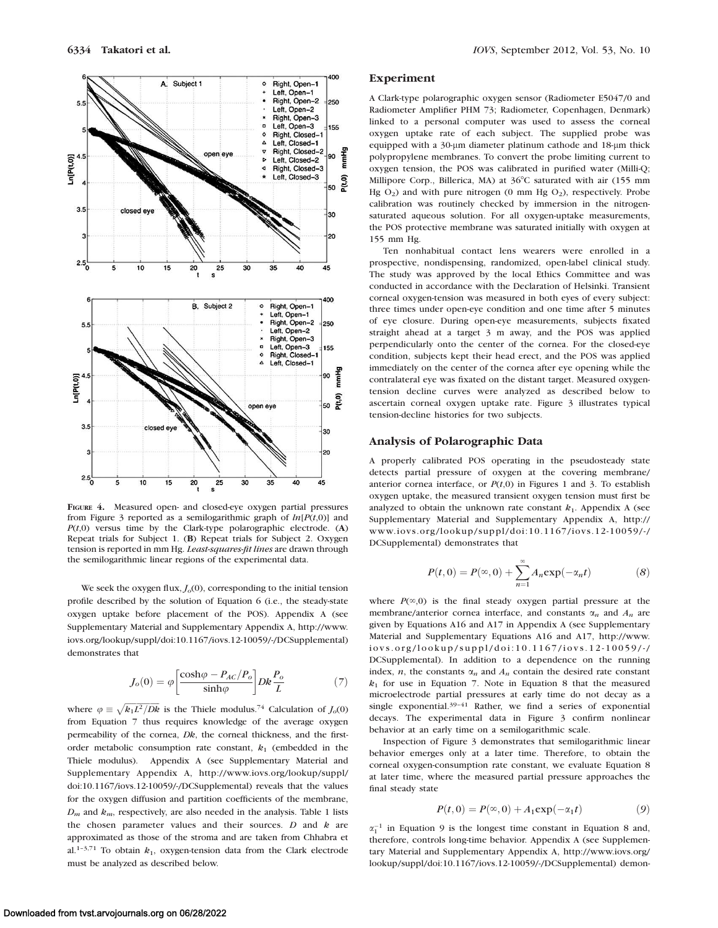

FIGURE 4. Measured open- and closed-eye oxygen partial pressures from Figure 3 reported as a semilogarithmic graph of  $ln[P(t,0)]$  and  $P(t,0)$  versus time by the Clark-type polarographic electrode. (A) Repeat trials for Subject 1. (B) Repeat trials for Subject 2. Oxygen tension is reported in mm Hg. Least-squares-fit lines are drawn through the semilogarithmic linear regions of the experimental data.

We seek the oxygen flux,  $J<sub>o</sub>(0)$ , corresponding to the initial tension profile described by the solution of Equation 6 (i.e., the steady-state oxygen uptake before placement of the POS). Appendix A (see Supplementary Material and Supplementary Appendix A, http://www. iovs.org/lookup/suppl/doi:10.1167/iovs.12-10059/-/DCSupplemental) demonstrates that

$$
J_o(0) = \varphi \left[ \frac{\cosh \varphi - P_{AC}/P_o}{\sinh \varphi} \right] Dk \frac{P_o}{L}
$$
 (7)

where  $\varphi \equiv \sqrt{k_1 L^2 / Dk}$  is the Thiele modulus.<sup>74</sup> Calculation of  $J_0(0)$ from Equation 7 thus requires knowledge of the average oxygen permeability of the cornea, Dk, the corneal thickness, and the firstorder metabolic consumption rate constant,  $k_1$  (embedded in the Thiele modulus). Appendix A (see Supplementary Material and Supplementary Appendix A, http://www.iovs.org/lookup/suppl/ doi:10.1167/iovs.12-10059/-/DCSupplemental) reveals that the values for the oxygen diffusion and partition coefficients of the membrane,  $D_m$  and  $k_m$ , respectively, are also needed in the analysis. Table 1 lists the chosen parameter values and their sources.  $D$  and  $k$  are approximated as those of the stroma and are taken from Chhabra et al.<sup>1-3,71</sup> To obtain  $k_1$ , oxygen-tension data from the Clark electrode must be analyzed as described below.

#### Experiment

A Clark-type polarographic oxygen sensor (Radiometer E5047/0 and Radiometer Amplifier PHM 73; Radiometer, Copenhagen, Denmark) linked to a personal computer was used to assess the corneal oxygen uptake rate of each subject. The supplied probe was equipped with a 30-um diameter platinum cathode and 18-um thick polypropylene membranes. To convert the probe limiting current to oxygen tension, the POS was calibrated in purified water (Milli-Q; Millipore Corp., Billerica, MA) at 36°C saturated with air (155 mm Hg  $O_2$ ) and with pure nitrogen (0 mm Hg  $O_2$ ), respectively. Probe calibration was routinely checked by immersion in the nitrogensaturated aqueous solution. For all oxygen-uptake measurements, the POS protective membrane was saturated initially with oxygen at 155 mm Hg.

Ten nonhabitual contact lens wearers were enrolled in a prospective, nondispensing, randomized, open-label clinical study. The study was approved by the local Ethics Committee and was conducted in accordance with the Declaration of Helsinki. Transient corneal oxygen-tension was measured in both eyes of every subject: three times under open-eye condition and one time after 5 minutes of eye closure. During open-eye measurements, subjects fixated straight ahead at a target 3 m away, and the POS was applied perpendicularly onto the center of the cornea. For the closed-eye condition, subjects kept their head erect, and the POS was applied immediately on the center of the cornea after eye opening while the contralateral eye was fixated on the distant target. Measured oxygentension decline curves were analyzed as described below to ascertain corneal oxygen uptake rate. Figure 3 illustrates typical tension-decline histories for two subjects.

#### Analysis of Polarographic Data

A properly calibrated POS operating in the pseudosteady state detects partial pressure of oxygen at the covering membrane/ anterior cornea interface, or  $P(t,0)$  in Figures 1 and 3. To establish oxygen uptake, the measured transient oxygen tension must first be analyzed to obtain the unknown rate constant  $k_1$ . Appendix A (see Supplementary Material and Supplementary Appendix A, http:// www.iovs.org/lookup/suppl/doi:10.1167/iovs.12-10059/-/ DCSupplemental) demonstrates that

$$
P(t,0) = P(\infty,0) + \sum_{n=1}^{\infty} A_n \exp(-\alpha_n t)
$$
 (8)

where  $P(\infty,0)$  is the final steady oxygen partial pressure at the membrane/anterior cornea interface, and constants  $\alpha_n$  and  $A_n$  are given by Equations A16 and A17 in Appendix A (see Supplementary Material and Supplementary Equations A16 and A17, http://www. iovs.org/lookup/suppl/doi:10.1167/iovs.12-10059/-/ DCSupplemental). In addition to a dependence on the running index, *n*, the constants  $\alpha_n$  and  $A_n$  contain the desired rate constant  $k_1$  for use in Equation 7. Note in Equation 8 that the measured microelectrode partial pressures at early time do not decay as a single exponential.39–41 Rather, we find a series of exponential decays. The experimental data in Figure 3 confirm nonlinear behavior at an early time on a semilogarithmic scale.

Inspection of Figure 3 demonstrates that semilogarithmic linear behavior emerges only at a later time. Therefore, to obtain the corneal oxygen-consumption rate constant, we evaluate Equation 8 at later time, where the measured partial pressure approaches the final steady state

$$
P(t,0) = P(\infty,0) + A_1 \exp(-\alpha_1 t) \tag{9}
$$

 $\alpha_1^{-1}$  in Equation 9 is the longest time constant in Equation 8 and, therefore, controls long-time behavior. Appendix A (see Supplementary Material and Supplementary Appendix A, http://www.iovs.org/ lookup/suppl/doi:10.1167/iovs.12-10059/-/DCSupplemental) demon-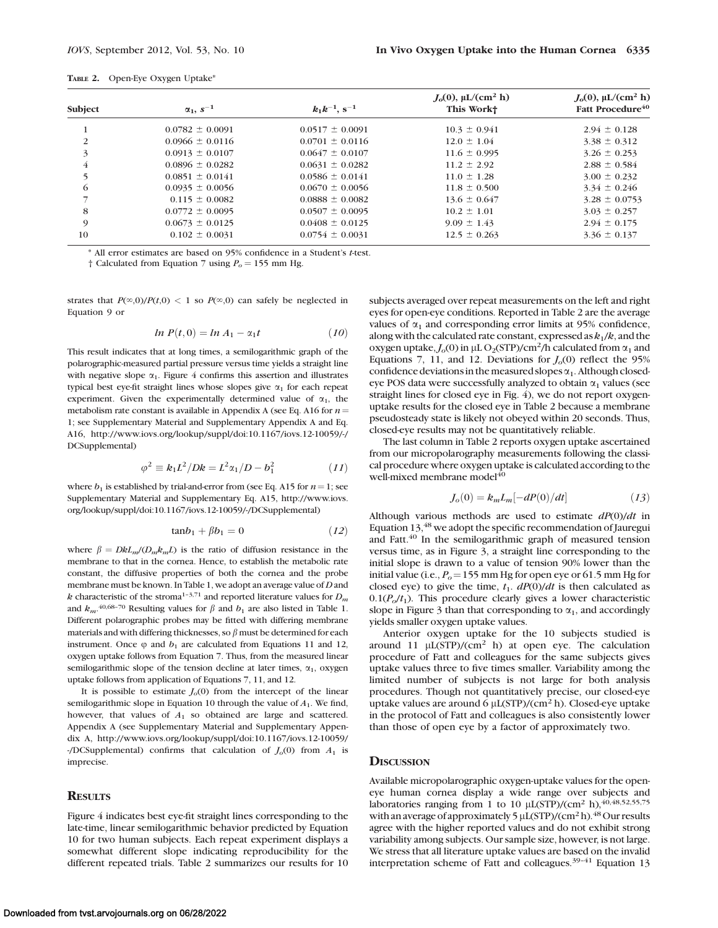| <b>TABLE 2.</b> |  | Open-Eye Oxygen Uptake* |  |
|-----------------|--|-------------------------|--|
|-----------------|--|-------------------------|--|

| Subject        | $\alpha_1, s^{-1}$  | $k_1k^{-1}$ , s <sup>-1</sup> | $J_0(0)$ , µL/(cm <sup>2</sup> h)<br>This Workt | $J_0(0)$ , µL/(cm <sup>2</sup> h)<br>Fatt Procedure <sup>40</sup> |
|----------------|---------------------|-------------------------------|-------------------------------------------------|-------------------------------------------------------------------|
|                | $0.0782 \pm 0.0091$ | $0.0517 \pm 0.0091$           | $10.3 \pm 0.941$                                | $2.94 \pm 0.128$                                                  |
| 2              | $0.0966 \pm 0.0116$ | $0.0701 \pm 0.0116$           | $12.0 \pm 1.04$                                 | $3.38 \pm 0.312$                                                  |
| 3              | $0.0913 \pm 0.0107$ | $0.0647 \pm 0.0107$           | $11.6 \pm 0.995$                                | $3.26 \pm 0.253$                                                  |
| $\overline{4}$ | $0.0896 \pm 0.0282$ | $0.0631 \pm 0.0282$           | $11.2 \pm 2.92$                                 | $2.88 \pm 0.584$                                                  |
| 5              | $0.0851 \pm 0.0141$ | $0.0586 \pm 0.0141$           | $11.0 \pm 1.28$                                 | $3.00 \pm 0.232$                                                  |
| 6              | $0.0935 \pm 0.0056$ | $0.0670 \pm 0.0056$           | $11.8 \pm 0.500$                                | $3.34 \pm 0.246$                                                  |
|                | $0.115 \pm 0.0082$  | $0.0888 \pm 0.0082$           | $13.6 \pm 0.647$                                | $3.28 \pm 0.0753$                                                 |
| 8              | $0.0772 \pm 0.0095$ | $0.0507 \pm 0.0095$           | $10.2 \pm 1.01$                                 | $3.03 \pm 0.257$                                                  |
| 9              | $0.0673 \pm 0.0125$ | $0.0408 \pm 0.0125$           | $9.09 \pm 1.43$                                 | $2.94 \pm 0.175$                                                  |
| 10             | $0.102 \pm 0.0031$  | $0.0754 \pm 0.0031$           | $12.5 \pm 0.263$                                | $3.36 \pm 0.137$                                                  |

\* All error estimates are based on 95% confidence in a Student's t-test.

† Calculated from Equation 7 using  $P_0 = 155$  mm Hg.

strates that  $P(\infty,0)/P(t,0) < 1$  so  $P(\infty,0)$  can safely be neglected in Equation 9 or

$$
ln P(t,0) = ln A_1 - \alpha_1 t \qquad (10)
$$

This result indicates that at long times, a semilogarithmic graph of the polarographic-measured partial pressure versus time yields a straight line with negative slope  $\alpha_1$ . Figure 4 confirms this assertion and illustrates typical best eye-fit straight lines whose slopes give  $\alpha_1$  for each repeat experiment. Given the experimentally determined value of  $\alpha_1$ , the metabolism rate constant is available in Appendix A (see Eq. A16 for  $n =$ 1; see Supplementary Material and Supplementary Appendix A and Eq. A16, http://www.iovs.org/lookup/suppl/doi:10.1167/iovs.12-10059/-/ DCSupplemental)

$$
\varphi^2 \equiv k_1 L^2 / D k = L^2 \alpha_1 / D - b_1^2 \tag{11}
$$

where  $b_1$  is established by trial-and-error from (see Eq. A15 for  $n=1$ ; see Supplementary Material and Supplementary Eq. A15, http://www.iovs. org/lookup/suppl/doi:10.1167/iovs.12-10059/-/DCSupplemental)

$$
tan b_1 + \beta b_1 = 0 \qquad (12)
$$

where  $\beta = DkL_m/(D_m k_m L)$  is the ratio of diffusion resistance in the membrane to that in the cornea. Hence, to establish the metabolic rate constant, the diffusive properties of both the cornea and the probe membrane must be known. In Table 1, we adopt an average value of D and k characteristic of the stroma<sup>1-3,71</sup> and reported literature values for  $D_m$ and  $k_m$ .<sup>40,68-70</sup> Resulting values for  $\beta$  and  $b_1$  are also listed in Table 1. Different polarographic probes may be fitted with differing membrane materials and with differing thicknesses, so  $\beta$  must be determined for each instrument. Once  $\varphi$  and  $b_1$  are calculated from Equations 11 and 12, oxygen uptake follows from Equation 7. Thus, from the measured linear semilogarithmic slope of the tension decline at later times,  $\alpha_1$ , oxygen uptake follows from application of Equations 7, 11, and 12.

It is possible to estimate  $J<sub>o</sub>(0)$  from the intercept of the linear semilogarithmic slope in Equation 10 through the value of  $A_1$ . We find, however, that values of  $A_1$  so obtained are large and scattered. Appendix A (see Supplementary Material and Supplementary Appendix A, http://www.iovs.org/lookup/suppl/doi:10.1167/iovs.12-10059/ -/DCSupplemental) confirms that calculation of  $J<sub>o</sub>(0)$  from  $A<sub>1</sub>$  is imprecise.

#### **RESULTS**

Figure 4 indicates best eye-fit straight lines corresponding to the late-time, linear semilogarithmic behavior predicted by Equation 10 for two human subjects. Each repeat experiment displays a somewhat different slope indicating reproducibility for the different repeated trials. Table 2 summarizes our results for 10 subjects averaged over repeat measurements on the left and right eyes for open-eye conditions. Reported in Table 2 are the average values of  $\alpha_1$  and corresponding error limits at 95% confidence, along with the calculated rate constant, expressed as  $k_1/k$ , and the oxygen uptake,  $J<sub>o</sub>(0)$  in  $\mu$ L O<sub>2</sub>(STP)/cm<sup>2</sup>/h calculated from  $\alpha_1$  and Equations 7, 11, and 12. Deviations for  $J<sub>o</sub>(0)$  reflect the 95% confidence deviations in the measured slopes  $\alpha_1$ . Although closedeye POS data were successfully analyzed to obtain  $\alpha_1$  values (see straight lines for closed eye in Fig. 4), we do not report oxygenuptake results for the closed eye in Table 2 because a membrane pseudosteady state is likely not obeyed within 20 seconds. Thus, closed-eye results may not be quantitatively reliable.

The last column in Table 2 reports oxygen uptake ascertained from our micropolarography measurements following the classical procedure where oxygen uptake is calculated according to the well-mixed membrane model<sup>40</sup>

$$
J_o(0) = k_m L_m[-dP(0)/dt]
$$
 (13)

Although various methods are used to estimate  $dP(0)/dt$  in Equation 13,48 we adopt the specific recommendation of Jauregui and Fatt.<sup>40</sup> In the semilogarithmic graph of measured tension versus time, as in Figure 3, a straight line corresponding to the initial slope is drawn to a value of tension 90% lower than the initial value (i.e.,  $P_0 = 155$  mm Hg for open eye or 61.5 mm Hg for closed eye) to give the time,  $t_1$ .  $dP(0)/dt$  is then calculated as  $0.1(P<sub>o</sub>/t<sub>1</sub>)$ . This procedure clearly gives a lower characteristic slope in Figure 3 than that corresponding to  $\alpha_1$ , and accordingly yields smaller oxygen uptake values.

Anterior oxygen uptake for the 10 subjects studied is around 11  $\mu$ L(STP)/(cm<sup>2</sup> h) at open eye. The calculation procedure of Fatt and colleagues for the same subjects gives uptake values three to five times smaller. Variability among the limited number of subjects is not large for both analysis procedures. Though not quantitatively precise, our closed-eye uptake values are around 6  $\mu$ L(STP)/(cm<sup>2</sup> h). Closed-eye uptake in the protocol of Fatt and colleagues is also consistently lower than those of open eye by a factor of approximately two.

## **DISCUSSION**

Available micropolarographic oxygen-uptake values for the openeye human cornea display a wide range over subjects and laboratories ranging from 1 to 10  $\mu$ L(STP)/(cm<sup>2</sup> h),<sup>40,48,52,55,75</sup> with an average of approximately 5  $\mu$ L(STP)/(cm<sup>2</sup>h).<sup>48</sup> Our results agree with the higher reported values and do not exhibit strong variability among subjects. Our sample size, however, is not large. We stress that all literature uptake values are based on the invalid interpretation scheme of Fatt and colleagues.<sup>39-41</sup> Equation 13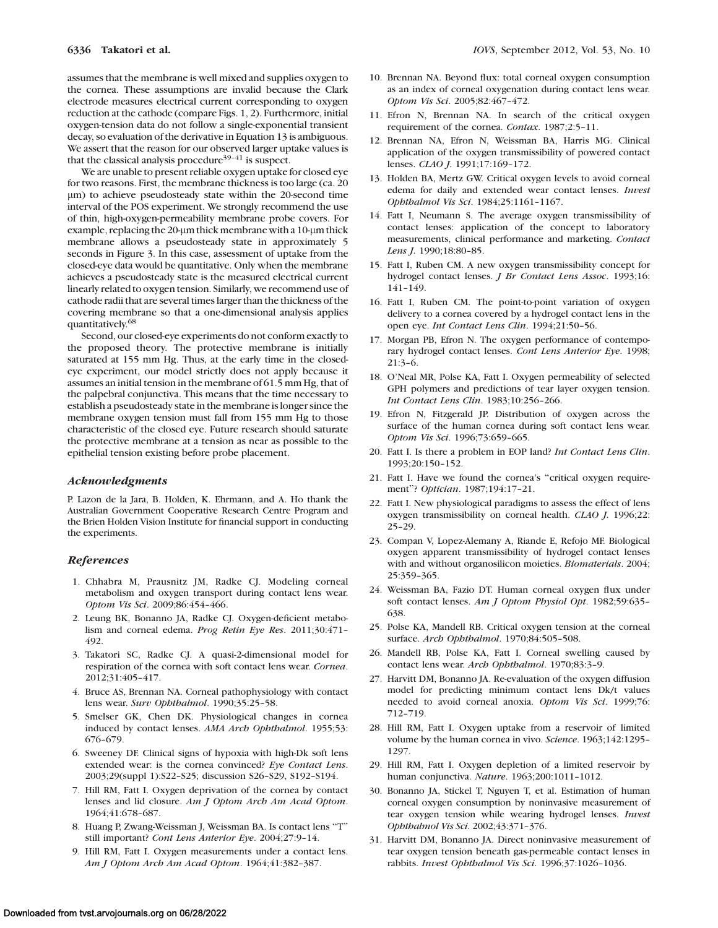assumes that the membrane is well mixed and supplies oxygen to the cornea. These assumptions are invalid because the Clark electrode measures electrical current corresponding to oxygen reduction at the cathode (compare Figs. 1, 2). Furthermore, initial oxygen-tension data do not follow a single-exponential transient decay, so evaluation of the derivative in Equation 13 is ambiguous. We assert that the reason for our observed larger uptake values is that the classical analysis procedure $39-41$  is suspect.

We are unable to present reliable oxygen uptake for closed eye for two reasons. First, the membrane thickness is too large (ca. 20 lm) to achieve pseudosteady state within the 20-second time interval of the POS experiment. We strongly recommend the use of thin, high-oxygen-permeability membrane probe covers. For example, replacing the 20-µm thick membrane with a 10-µm thick membrane allows a pseudosteady state in approximately 5 seconds in Figure 3. In this case, assessment of uptake from the closed-eye data would be quantitative. Only when the membrane achieves a pseudosteady state is the measured electrical current linearly related to oxygen tension. Similarly, we recommend use of cathode radii that are several times larger than the thickness of the covering membrane so that a one-dimensional analysis applies quantitatively.68

Second, our closed-eye experiments do not conform exactly to the proposed theory. The protective membrane is initially saturated at 155 mm Hg. Thus, at the early time in the closedeye experiment, our model strictly does not apply because it assumes an initial tension in the membrane of 61.5 mm Hg, that of the palpebral conjunctiva. This means that the time necessary to establish a pseudosteady state in the membrane is longer since the membrane oxygen tension must fall from 155 mm Hg to those characteristic of the closed eye. Future research should saturate the protective membrane at a tension as near as possible to the epithelial tension existing before probe placement.

#### Acknowledgments

P. Lazon de la Jara, B. Holden, K. Ehrmann, and A. Ho thank the Australian Government Cooperative Research Centre Program and the Brien Holden Vision Institute for financial support in conducting the experiments.

#### **References**

- 1. Chhabra M, Prausnitz JM, Radke CJ. Modeling corneal metabolism and oxygen transport during contact lens wear. Optom Vis Sci. 2009;86:454–466.
- 2. Leung BK, Bonanno JA, Radke CJ. Oxygen-deficient metabolism and corneal edema. Prog Retin Eye Res. 2011;30:471– 492.
- 3. Takatori SC, Radke CJ. A quasi-2-dimensional model for respiration of the cornea with soft contact lens wear. Cornea. 2012;31:405–417.
- 4. Bruce AS, Brennan NA. Corneal pathophysiology with contact lens wear. Surv Ophthalmol. 1990;35:25–58.
- 5. Smelser GK, Chen DK. Physiological changes in cornea induced by contact lenses. AMA Arch Ophthalmol. 1955;53: 676–679.
- 6. Sweeney DF. Clinical signs of hypoxia with high-Dk soft lens extended wear: is the cornea convinced? Eye Contact Lens. 2003;29(suppl 1):S22–S25; discussion S26–S29, S192–S194.
- 7. Hill RM, Fatt I. Oxygen deprivation of the cornea by contact lenses and lid closure. Am J Optom Arch Am Acad Optom. 1964;41:678–687.
- 8. Huang P, Zwang-Weissman J, Weissman BA. Is contact lens ''T'' still important? Cont Lens Anterior Eye. 2004;27:9–14.
- 9. Hill RM, Fatt I. Oxygen measurements under a contact lens. Am J Optom Arch Am Acad Optom. 1964;41:382–387.
- 10. Brennan NA. Beyond flux: total corneal oxygen consumption as an index of corneal oxygenation during contact lens wear. Optom Vis Sci. 2005;82:467–472.
- 11. Efron N, Brennan NA. In search of the critical oxygen requirement of the cornea. Contax. 1987;2:5–11.
- 12. Brennan NA, Efron N, Weissman BA, Harris MG. Clinical application of the oxygen transmissibility of powered contact lenses. CLAO J. 1991;17:169–172.
- 13. Holden BA, Mertz GW. Critical oxygen levels to avoid corneal edema for daily and extended wear contact lenses. Invest Ophthalmol Vis Sci. 1984;25:1161–1167.
- 14. Fatt I, Neumann S. The average oxygen transmissibility of contact lenses: application of the concept to laboratory measurements, clinical performance and marketing. Contact Lens J. 1990;18:80–85.
- 15. Fatt I, Ruben CM. A new oxygen transmissibility concept for hydrogel contact lenses. J Br Contact Lens Assoc. 1993;16: 141–149.
- 16. Fatt I, Ruben CM. The point-to-point variation of oxygen delivery to a cornea covered by a hydrogel contact lens in the open eye. Int Contact Lens Clin. 1994;21:50–56.
- 17. Morgan PB, Efron N. The oxygen performance of contemporary hydrogel contact lenses. Cont Lens Anterior Eye. 1998; 21:3–6.
- 18. O'Neal MR, Polse KA, Fatt I. Oxygen permeability of selected GPH polymers and predictions of tear layer oxygen tension. Int Contact Lens Clin. 1983;10:256–266.
- 19. Efron N, Fitzgerald JP. Distribution of oxygen across the surface of the human cornea during soft contact lens wear. Optom Vis Sci. 1996;73:659–665.
- 20. Fatt I. Is there a problem in EOP land? Int Contact Lens Clin. 1993;20:150–152.
- 21. Fatt I. Have we found the cornea's ''critical oxygen requirement''? Optician. 1987;194:17–21.
- 22. Fatt I. New physiological paradigms to assess the effect of lens oxygen transmissibility on corneal health. CLAO J. 1996;22: 25–29.
- 23. Compan V, Lopez-Alemany A, Riande E, Refojo MF. Biological oxygen apparent transmissibility of hydrogel contact lenses with and without organosilicon moieties. Biomaterials. 2004; 25:359–365.
- 24. Weissman BA, Fazio DT. Human corneal oxygen flux under soft contact lenses. Am J Optom Physiol Opt. 1982;59:635-638.
- 25. Polse KA, Mandell RB. Critical oxygen tension at the corneal surface. Arch Ophthalmol. 1970;84:505–508.
- 26. Mandell RB, Polse KA, Fatt I. Corneal swelling caused by contact lens wear. Arch Ophthalmol. 1970;83:3–9.
- 27. Harvitt DM, Bonanno JA. Re-evaluation of the oxygen diffusion model for predicting minimum contact lens Dk/t values needed to avoid corneal anoxia. Optom Vis Sci. 1999;76: 712–719.
- 28. Hill RM, Fatt I. Oxygen uptake from a reservoir of limited volume by the human cornea in vivo. Science. 1963;142:1295-1297.
- 29. Hill RM, Fatt I. Oxygen depletion of a limited reservoir by human conjunctiva. Nature. 1963;200:1011–1012.
- 30. Bonanno JA, Stickel T, Nguyen T, et al. Estimation of human corneal oxygen consumption by noninvasive measurement of tear oxygen tension while wearing hydrogel lenses. Invest Ophthalmol Vis Sci. 2002;43:371–376.
- 31. Harvitt DM, Bonanno JA. Direct noninvasive measurement of tear oxygen tension beneath gas-permeable contact lenses in rabbits. Invest Ophthalmol Vis Sci. 1996;37:1026–1036.